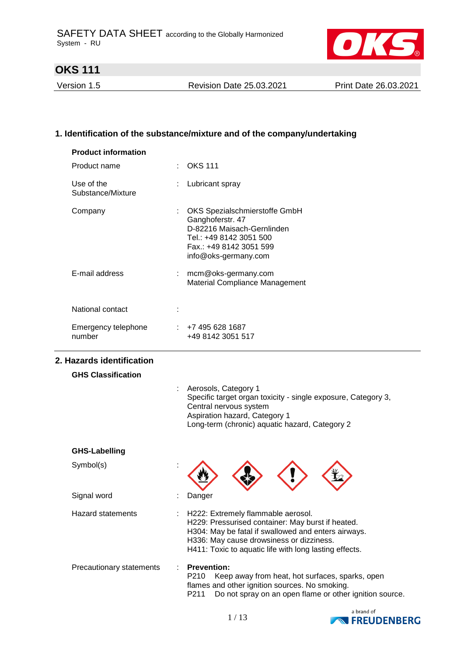

Version 1.5 Revision Date 25.03.2021 Print Date 26.03.2021

## **1. Identification of the substance/mixture and of the company/undertaking**

| <b>Product information</b>      |                                                                                                                                                                                                                                                                                   |
|---------------------------------|-----------------------------------------------------------------------------------------------------------------------------------------------------------------------------------------------------------------------------------------------------------------------------------|
| Product name                    | <b>OKS 111</b>                                                                                                                                                                                                                                                                    |
| Use of the<br>Substance/Mixture | Lubricant spray                                                                                                                                                                                                                                                                   |
| Company                         | OKS Spezialschmierstoffe GmbH<br>Ganghoferstr. 47<br>D-82216 Maisach-Gernlinden<br>Tel.: +49 8142 3051 500<br>Fax.: +49 8142 3051 599<br>info@oks-germany.com                                                                                                                     |
| E-mail address                  | mcm@oks-germany.com<br>÷.<br>Material Compliance Management                                                                                                                                                                                                                       |
| National contact                |                                                                                                                                                                                                                                                                                   |
| Emergency telephone<br>number   | $\div$ +7 495 628 1687<br>+49 8142 3051 517                                                                                                                                                                                                                                       |
| 2. Hazards identification       |                                                                                                                                                                                                                                                                                   |
| <b>GHS Classification</b>       |                                                                                                                                                                                                                                                                                   |
|                                 | Aerosols, Category 1<br>Specific target organ toxicity - single exposure, Category 3,<br>Central nervous system<br>Aspiration hazard, Category 1<br>Long-term (chronic) aquatic hazard, Category 2                                                                                |
| <b>GHS-Labelling</b>            |                                                                                                                                                                                                                                                                                   |
| Symbol(s)                       |                                                                                                                                                                                                                                                                                   |
| Signal word                     | Danger                                                                                                                                                                                                                                                                            |
| <b>Hazard statements</b>        | $\mathbb{Z}^{\mathbb{Z}}$<br>H222: Extremely flammable aerosol.<br>H229: Pressurised container: May burst if heated.<br>H304: May be fatal if swallowed and enters airways.<br>H336: May cause drowsiness or dizziness.<br>H411: Toxic to aquatic life with long lasting effects. |
| Precautionary statements        | <b>Prevention:</b><br>P210<br>Keep away from heat, hot surfaces, sparks, open<br>flames and other ignition sources. No smoking.                                                                                                                                                   |



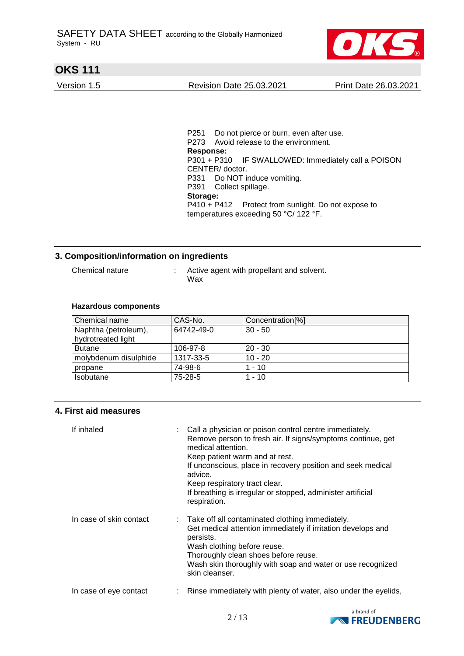

Version 1.5 Revision Date 25.03.2021 Print Date 26.03.2021

P251 Do not pierce or burn, even after use. P273 Avoid release to the environment. **Response:**  P301 + P310 IF SWALLOWED: Immediately call a POISON CENTER/ doctor. P331 Do NOT induce vomiting. P391 Collect spillage. **Storage:**  P410 + P412 Protect from sunlight. Do not expose to temperatures exceeding 50 °C/ 122 °F.

### **3. Composition/information on ingredients**

Chemical nature : Active agent with propellant and solvent. Wax

#### **Hazardous components**

| Chemical name         | CAS-No.    | Concentration <sup>[%]</sup> |
|-----------------------|------------|------------------------------|
| Naphtha (petroleum),  | 64742-49-0 | $30 - 50$                    |
| hydrotreated light    |            |                              |
| <b>Butane</b>         | 106-97-8   | $20 - 30$                    |
| molybdenum disulphide | 1317-33-5  | $10 - 20$                    |
| propane               | 74-98-6    | 1 - 10                       |
| <b>Isobutane</b>      | 75-28-5    | 1 - 10                       |

#### **4. First aid measures**

| If inhaled              | Call a physician or poison control centre immediately.<br>Remove person to fresh air. If signs/symptoms continue, get<br>medical attention.<br>Keep patient warm and at rest.<br>If unconscious, place in recovery position and seek medical<br>advice.<br>Keep respiratory tract clear.<br>If breathing is irregular or stopped, administer artificial<br>respiration. |
|-------------------------|-------------------------------------------------------------------------------------------------------------------------------------------------------------------------------------------------------------------------------------------------------------------------------------------------------------------------------------------------------------------------|
| In case of skin contact | : Take off all contaminated clothing immediately.<br>Get medical attention immediately if irritation develops and<br>persists.<br>Wash clothing before reuse.<br>Thoroughly clean shoes before reuse.<br>Wash skin thoroughly with soap and water or use recognized<br>skin cleanser.                                                                                   |
| In case of eye contact  | Rinse immediately with plenty of water, also under the eyelids,                                                                                                                                                                                                                                                                                                         |

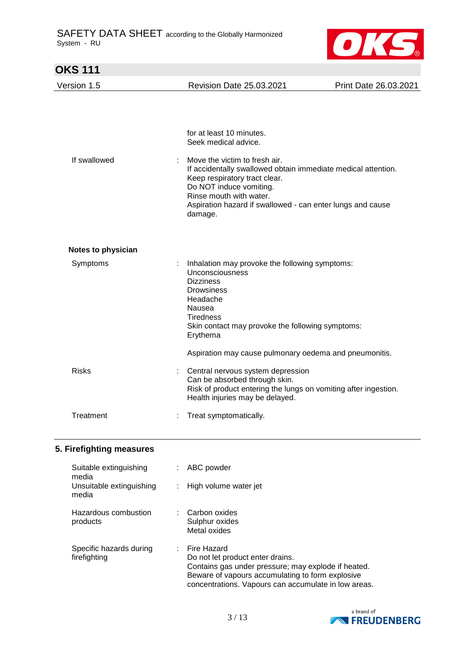

| <b>OKS 111</b>            |                                                                                                                                                                                                                                                                |                       |
|---------------------------|----------------------------------------------------------------------------------------------------------------------------------------------------------------------------------------------------------------------------------------------------------------|-----------------------|
| Version 1.5               | <b>Revision Date 25.03.2021</b>                                                                                                                                                                                                                                | Print Date 26.03.2021 |
|                           | for at least 10 minutes.<br>Seek medical advice.                                                                                                                                                                                                               |                       |
| If swallowed              | Move the victim to fresh air.<br>If accidentally swallowed obtain immediate medical attention.<br>Keep respiratory tract clear.<br>Do NOT induce vomiting.<br>Rinse mouth with water.<br>Aspiration hazard if swallowed - can enter lungs and cause<br>damage. |                       |
| <b>Notes to physician</b> |                                                                                                                                                                                                                                                                |                       |
| Symptoms                  | Inhalation may provoke the following symptoms:<br>Unconsciousness<br><b>Dizziness</b><br><b>Drowsiness</b><br>Headache<br>Nausea<br><b>Tiredness</b><br>Skin contact may provoke the following symptoms:<br>Erythema                                           |                       |
|                           | Aspiration may cause pulmonary oedema and pneumonitis.                                                                                                                                                                                                         |                       |
| <b>Risks</b>              | Central nervous system depression<br>Can be absorbed through skin.<br>Risk of product entering the lungs on vomiting after ingestion.<br>Health injuries may be delayed.                                                                                       |                       |
| Treatment                 | Treat symptomatically.                                                                                                                                                                                                                                         |                       |

## **5. Firefighting measures**

| Suitable extinguishing<br>media         | ABC powder                                                                                                                                                                                                         |
|-----------------------------------------|--------------------------------------------------------------------------------------------------------------------------------------------------------------------------------------------------------------------|
| Unsuitable extinguishing<br>media       | High volume water jet                                                                                                                                                                                              |
| Hazardous combustion<br>products        | Carbon oxides<br>Sulphur oxides<br>Metal oxides                                                                                                                                                                    |
| Specific hazards during<br>firefighting | Fire Hazard<br>Do not let product enter drains.<br>Contains gas under pressure; may explode if heated.<br>Beware of vapours accumulating to form explosive<br>concentrations. Vapours can accumulate in low areas. |

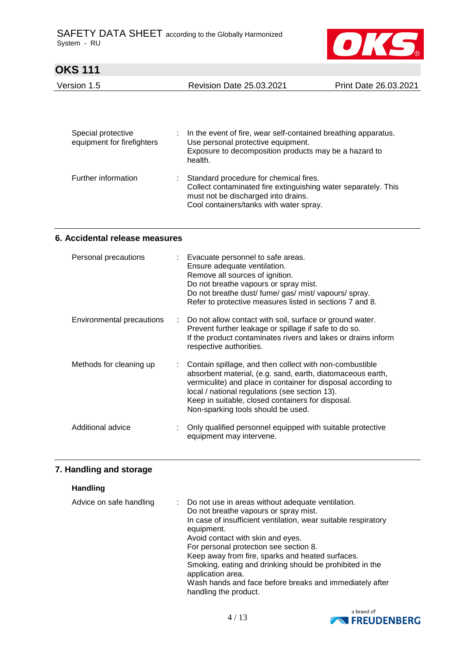

| Version 1.5 | <b>Revision Date 25.03.2021</b> | Print Date 26.03.2021 |
|-------------|---------------------------------|-----------------------|
|             |                                 |                       |

| Special protective<br>equipment for firefighters | In the event of fire, wear self-contained breathing apparatus.<br>Use personal protective equipment.<br>Exposure to decomposition products may be a hazard to<br>health.                   |
|--------------------------------------------------|--------------------------------------------------------------------------------------------------------------------------------------------------------------------------------------------|
| Further information                              | Standard procedure for chemical fires.<br>Collect contaminated fire extinguishing water separately. This<br>must not be discharged into drains.<br>Cool containers/tanks with water spray. |

#### **6. Accidental release measures**

| Personal precautions      |    | : Evacuate personnel to safe areas.<br>Ensure adequate ventilation.<br>Remove all sources of ignition.<br>Do not breathe vapours or spray mist.<br>Do not breathe dust/ fume/ gas/ mist/ vapours/ spray.<br>Refer to protective measures listed in sections 7 and 8.                                                                |
|---------------------------|----|-------------------------------------------------------------------------------------------------------------------------------------------------------------------------------------------------------------------------------------------------------------------------------------------------------------------------------------|
| Environmental precautions | t. | Do not allow contact with soil, surface or ground water.<br>Prevent further leakage or spillage if safe to do so.<br>If the product contaminates rivers and lakes or drains inform<br>respective authorities.                                                                                                                       |
| Methods for cleaning up   |    | Contain spillage, and then collect with non-combustible<br>absorbent material, (e.g. sand, earth, diatomaceous earth,<br>vermiculite) and place in container for disposal according to<br>local / national regulations (see section 13).<br>Keep in suitable, closed containers for disposal.<br>Non-sparking tools should be used. |
| Additional advice         |    | Only qualified personnel equipped with suitable protective<br>equipment may intervene.                                                                                                                                                                                                                                              |

## **7. Handling and storage**

#### **Handling**

| Advice on safe handling | Do not use in areas without adequate ventilation.<br>Do not breathe vapours or spray mist. |
|-------------------------|--------------------------------------------------------------------------------------------|
|                         | In case of insufficient ventilation, wear suitable respiratory<br>equipment.               |
|                         | Avoid contact with skin and eyes.                                                          |
|                         | For personal protection see section 8.                                                     |
|                         | Keep away from fire, sparks and heated surfaces.                                           |
|                         | Smoking, eating and drinking should be prohibited in the<br>application area.              |
|                         | Wash hands and face before breaks and immediately after<br>handling the product.           |

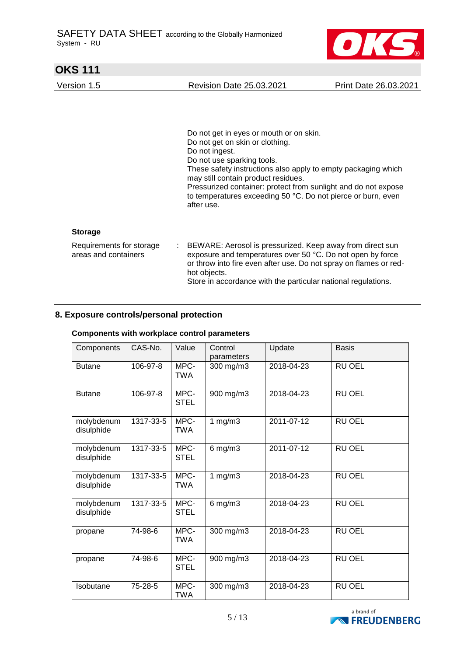

Version 1.5 Revision Date 25.03.2021 Print Date 26.03.2021

Do not get in eyes or mouth or on skin. Do not get on skin or clothing. Do not ingest. Do not use sparking tools. These safety instructions also apply to empty packaging which may still contain product residues. Pressurized container: protect from sunlight and do not expose to temperatures exceeding 50 °C. Do not pierce or burn, even after use.

#### **Storage**

| Requirements for storage | : BEWARE: Aerosol is pressurized. Keep away from direct sun       |
|--------------------------|-------------------------------------------------------------------|
| areas and containers     | exposure and temperatures over 50 °C. Do not open by force        |
|                          | or throw into fire even after use. Do not spray on flames or red- |
|                          | hot objects.                                                      |
|                          | Store in accordance with the particular national regulations.     |
|                          |                                                                   |

### **8. Exposure controls/personal protection**

#### **Components with workplace control parameters**

| Components               | CAS-No.   | Value               | Control<br>parameters | Update     | <b>Basis</b>  |
|--------------------------|-----------|---------------------|-----------------------|------------|---------------|
| <b>Butane</b>            | 106-97-8  | MPC-<br><b>TWA</b>  | 300 mg/m3             | 2018-04-23 | <b>RU OEL</b> |
| <b>Butane</b>            | 106-97-8  | MPC-<br><b>STEL</b> | 900 mg/m3             | 2018-04-23 | RU OEL        |
| molybdenum<br>disulphide | 1317-33-5 | MPC-<br><b>TWA</b>  | 1 $mg/m3$             | 2011-07-12 | RU OEL        |
| molybdenum<br>disulphide | 1317-33-5 | MPC-<br><b>STEL</b> | $6$ mg/m $3$          | 2011-07-12 | <b>RU OEL</b> |
| molybdenum<br>disulphide | 1317-33-5 | MPC-<br><b>TWA</b>  | 1 $mg/m3$             | 2018-04-23 | <b>RU OEL</b> |
| molybdenum<br>disulphide | 1317-33-5 | MPC-<br><b>STEL</b> | $6$ mg/m $3$          | 2018-04-23 | <b>RU OEL</b> |
| propane                  | 74-98-6   | MPC-<br><b>TWA</b>  | 300 mg/m3             | 2018-04-23 | <b>RU OEL</b> |
| propane                  | 74-98-6   | MPC-<br><b>STEL</b> | 900 mg/m3             | 2018-04-23 | <b>RU OEL</b> |
| Isobutane                | 75-28-5   | MPC-<br><b>TWA</b>  | 300 mg/m3             | 2018-04-23 | <b>RU OEL</b> |

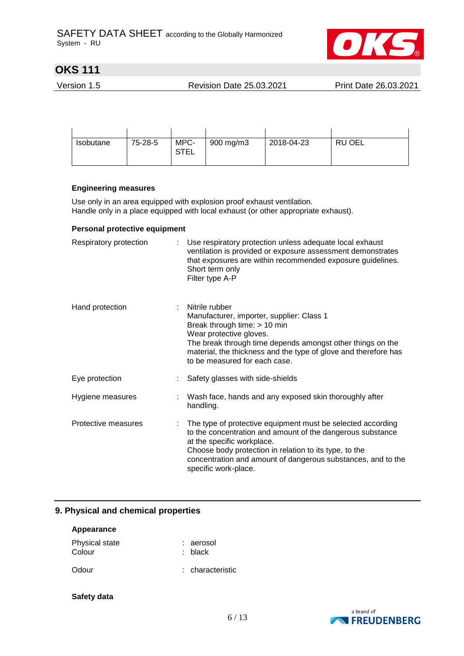

Version 1.5 Revision Date 25.03.2021 Print Date 26.03.2021

| Isobutane | 75-28-5 | MPC-<br><b>STEL</b> | 900 mg/m3 | 2018-04-23 | RU OEL |
|-----------|---------|---------------------|-----------|------------|--------|

#### **Engineering measures**

Use only in an area equipped with explosion proof exhaust ventilation. Handle only in a place equipped with local exhaust (or other appropriate exhaust).

#### **Personal protective equipment**

| Respiratory protection | Use respiratory protection unless adequate local exhaust<br>ventilation is provided or exposure assessment demonstrates<br>that exposures are within recommended exposure guidelines.<br>Short term only<br>Filter type A-P                                                                               |
|------------------------|-----------------------------------------------------------------------------------------------------------------------------------------------------------------------------------------------------------------------------------------------------------------------------------------------------------|
| Hand protection        | Nitrile rubber<br>Manufacturer, importer, supplier: Class 1<br>Break through time: > 10 min<br>Wear protective gloves.<br>The break through time depends amongst other things on the<br>material, the thickness and the type of glove and therefore has<br>to be measured for each case.                  |
| Eye protection         | Safety glasses with side-shields                                                                                                                                                                                                                                                                          |
| Hygiene measures       | Wash face, hands and any exposed skin thoroughly after<br>handling.                                                                                                                                                                                                                                       |
| Protective measures    | The type of protective equipment must be selected according<br>to the concentration and amount of the dangerous substance<br>at the specific workplace.<br>Choose body protection in relation to its type, to the<br>concentration and amount of dangerous substances, and to the<br>specific work-place. |

### **9. Physical and chemical properties**

| Appearance               |                        |
|--------------------------|------------------------|
| Physical state<br>Colour | : aerosol<br>$:$ black |
| Odour                    | : characteristic       |

#### **Safety data**

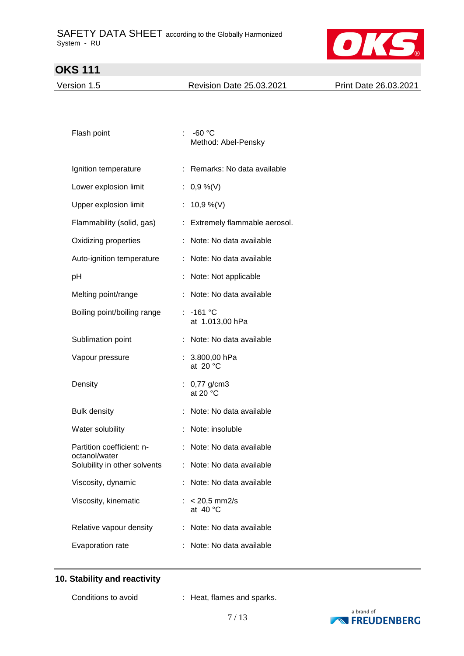

Version 1.5 Revision Date 25.03.2021 Print Date 26.03.2021

| Flash point                                |    | -60 $^{\circ}$ C<br>Method: Abel-Pensky |
|--------------------------------------------|----|-----------------------------------------|
| Ignition temperature                       | t. | Remarks: No data available              |
| Lower explosion limit                      | t. | $0,9\%$ (V)                             |
| Upper explosion limit                      | t. | 10,9 %(V)                               |
| Flammability (solid, gas)                  | t. | Extremely flammable aerosol.            |
| Oxidizing properties                       |    | Note: No data available                 |
| Auto-ignition temperature                  | ÷  | Note: No data available                 |
| рH                                         |    | Note: Not applicable                    |
| Melting point/range                        | ÷. | Note: No data available                 |
| Boiling point/boiling range                |    | : -161 °C<br>at 1.013,00 hPa            |
| Sublimation point                          |    | Note: No data available                 |
| Vapour pressure                            |    | 3.800,00 hPa<br>at $20 °C$              |
| Density                                    |    | $0,77$ g/cm3<br>at 20 $^{\circ}$ C      |
| <b>Bulk density</b>                        |    | Note: No data available                 |
| Water solubility                           |    | Note: insoluble                         |
| Partition coefficient: n-<br>octanol/water | ÷  | Note: No data available                 |
| Solubility in other solvents               |    | Note: No data available                 |
| Viscosity, dynamic                         |    | Note: No data available                 |
| Viscosity, kinematic                       |    | $< 20.5$ mm2/s<br>at $40 °C$            |
| Relative vapour density                    | ÷  | Note: No data available                 |
| Evaporation rate                           |    | Note: No data available                 |

### **10. Stability and reactivity**

Conditions to avoid : Heat, flames and sparks.

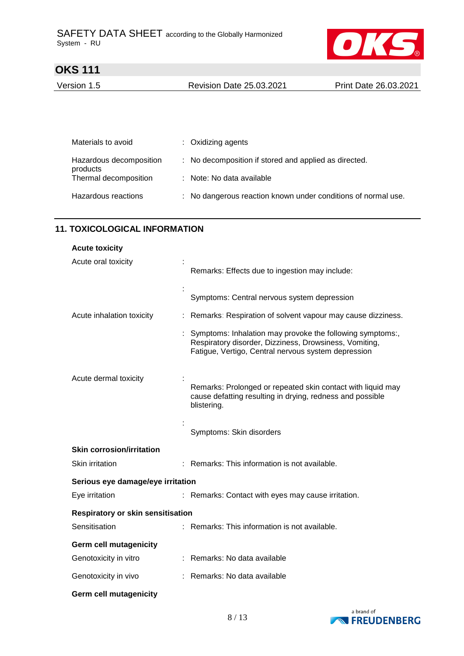

Version 1.5 Revision Date 25.03.2021 Print Date 26.03.2021

| Materials to avoid                  | : Oxidizing agents                                            |
|-------------------------------------|---------------------------------------------------------------|
| Hazardous decomposition<br>products | : No decomposition if stored and applied as directed.         |
| Thermal decomposition               | : Note: No data available                                     |
| Hazardous reactions                 | : No dangerous reaction known under conditions of normal use. |

### **11. TOXICOLOGICAL INFORMATION**

| <b>Acute toxicity</b>                    |                                                                                                                                                                            |
|------------------------------------------|----------------------------------------------------------------------------------------------------------------------------------------------------------------------------|
| Acute oral toxicity                      | Remarks: Effects due to ingestion may include:                                                                                                                             |
|                                          | Symptoms: Central nervous system depression                                                                                                                                |
| Acute inhalation toxicity                | Remarks: Respiration of solvent vapour may cause dizziness.                                                                                                                |
|                                          | Symptoms: Inhalation may provoke the following symptoms:,<br>Respiratory disorder, Dizziness, Drowsiness, Vomiting,<br>Fatigue, Vertigo, Central nervous system depression |
| Acute dermal toxicity                    | Remarks: Prolonged or repeated skin contact with liquid may<br>cause defatting resulting in drying, redness and possible<br>blistering.                                    |
|                                          | Symptoms: Skin disorders                                                                                                                                                   |
| <b>Skin corrosion/irritation</b>         |                                                                                                                                                                            |
| Skin irritation                          | : Remarks: This information is not available.                                                                                                                              |
| Serious eye damage/eye irritation        |                                                                                                                                                                            |
| Eye irritation                           | : Remarks: Contact with eyes may cause irritation.                                                                                                                         |
| <b>Respiratory or skin sensitisation</b> |                                                                                                                                                                            |
| Sensitisation                            | Remarks: This information is not available.                                                                                                                                |
| <b>Germ cell mutagenicity</b>            |                                                                                                                                                                            |
| Genotoxicity in vitro                    | : Remarks: No data available                                                                                                                                               |
| Genotoxicity in vivo                     | Remarks: No data available                                                                                                                                                 |
| <b>Germ cell mutagenicity</b>            |                                                                                                                                                                            |

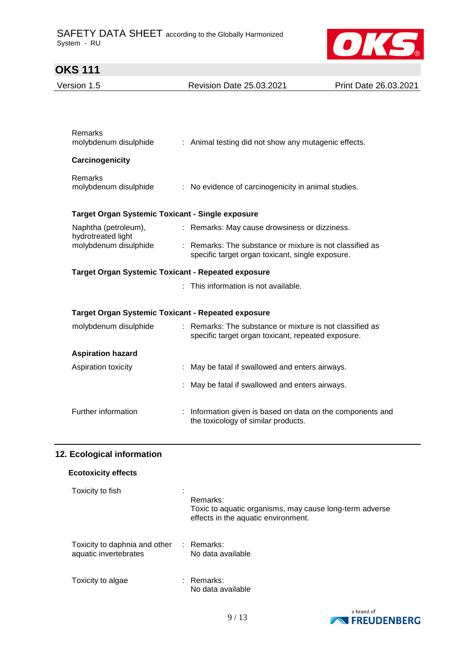

| Version 1.5                                      | <b>Revision Date 25.03.2021</b>                                                                                | Print Date 26.03.2021 |
|--------------------------------------------------|----------------------------------------------------------------------------------------------------------------|-----------------------|
|                                                  |                                                                                                                |                       |
| Remarks<br>molybdenum disulphide                 | : Animal testing did not show any mutagenic effects.                                                           |                       |
|                                                  |                                                                                                                |                       |
| Carcinogenicity                                  |                                                                                                                |                       |
| <b>Remarks</b><br>molybdenum disulphide          | : No evidence of carcinogenicity in animal studies.                                                            |                       |
| Target Organ Systemic Toxicant - Single exposure |                                                                                                                |                       |
| Naphtha (petroleum),<br>hydrotreated light       | : Remarks: May cause drowsiness or dizziness.                                                                  |                       |
| molybdenum disulphide                            | : Remarks: The substance or mixture is not classified as<br>specific target organ toxicant, single exposure.   |                       |
|                                                  | <b>Target Organ Systemic Toxicant - Repeated exposure</b>                                                      |                       |
|                                                  | : This information is not available.                                                                           |                       |
|                                                  | Target Organ Systemic Toxicant - Repeated exposure                                                             |                       |
| molybdenum disulphide                            | : Remarks: The substance or mixture is not classified as<br>specific target organ toxicant, repeated exposure. |                       |
| <b>Aspiration hazard</b>                         |                                                                                                                |                       |
| Aspiration toxicity                              | : May be fatal if swallowed and enters airways.                                                                |                       |
|                                                  |                                                                                                                |                       |
|                                                  | May be fatal if swallowed and enters airways.                                                                  |                       |

## **12. Ecological information**

| <b>Ecotoxicity effects</b>                                        |                                                                                                            |
|-------------------------------------------------------------------|------------------------------------------------------------------------------------------------------------|
| Toxicity to fish                                                  | Remarks:<br>Toxic to aquatic organisms, may cause long-term adverse<br>effects in the aquatic environment. |
| Toxicity to daphnia and other : Remarks:<br>aquatic invertebrates | No data available                                                                                          |
| Toxicity to algae                                                 | : Remarks:<br>No data available                                                                            |

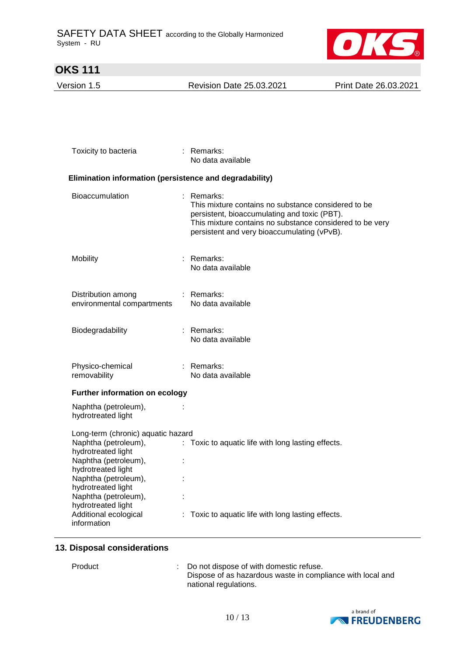

Version 1.5 Revision Date 25.03.2021 Print Date 26.03.2021

| Toxicity to bacteria                                                                                             |  | : Remarks:<br>No data available                                                                                                                                                                                              |  |  |  |
|------------------------------------------------------------------------------------------------------------------|--|------------------------------------------------------------------------------------------------------------------------------------------------------------------------------------------------------------------------------|--|--|--|
| Elimination information (persistence and degradability)                                                          |  |                                                                                                                                                                                                                              |  |  |  |
| Bioaccumulation                                                                                                  |  | : Remarks:<br>This mixture contains no substance considered to be<br>persistent, bioaccumulating and toxic (PBT).<br>This mixture contains no substance considered to be very<br>persistent and very bioaccumulating (vPvB). |  |  |  |
| Mobility                                                                                                         |  | Remarks:<br>No data available                                                                                                                                                                                                |  |  |  |
| Distribution among<br>environmental compartments                                                                 |  | : Remarks:<br>No data available                                                                                                                                                                                              |  |  |  |
| Biodegradability                                                                                                 |  | : Remarks:<br>No data available                                                                                                                                                                                              |  |  |  |
| Physico-chemical<br>removability                                                                                 |  | : Remarks:<br>No data available                                                                                                                                                                                              |  |  |  |
| <b>Further information on ecology</b>                                                                            |  |                                                                                                                                                                                                                              |  |  |  |
| Naphtha (petroleum),<br>hydrotreated light                                                                       |  |                                                                                                                                                                                                                              |  |  |  |
| Long-term (chronic) aquatic hazard                                                                               |  |                                                                                                                                                                                                                              |  |  |  |
| Naphtha (petroleum),<br>hydrotreated light<br>Naphtha (petroleum),<br>hydrotreated light<br>Naphtha (petroleum), |  | : Toxic to aquatic life with long lasting effects.                                                                                                                                                                           |  |  |  |
| hydrotreated light<br>Naphtha (petroleum),<br>hydrotreated light                                                 |  |                                                                                                                                                                                                                              |  |  |  |
| Additional ecological<br>information                                                                             |  | : Toxic to aquatic life with long lasting effects.                                                                                                                                                                           |  |  |  |

#### **13. Disposal considerations**

Product : Do not dispose of with domestic refuse. Dispose of as hazardous waste in compliance with local and national regulations.

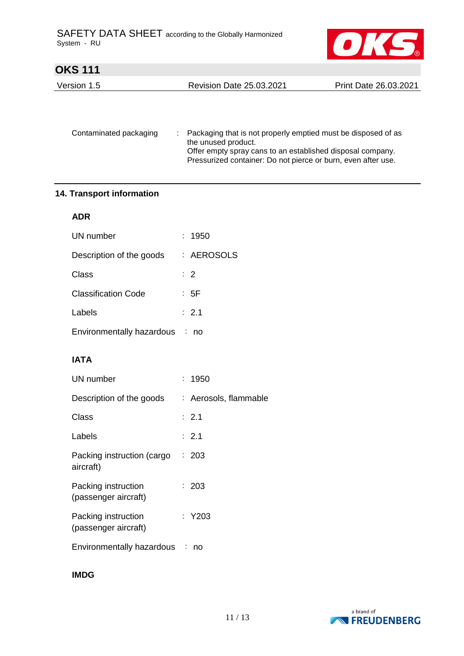

| Version 1.5 | <b>Revision Date 25.03.2021</b> | Print Date 26.03.2021 |
|-------------|---------------------------------|-----------------------|
|             |                                 |                       |

| Contaminated packaging | : Packaging that is not properly emptied must be disposed of as<br>the unused product.<br>Offer empty spray cans to an established disposal company.<br>Pressurized container: Do not pierce or burn, even after use. |
|------------------------|-----------------------------------------------------------------------------------------------------------------------------------------------------------------------------------------------------------------------|
|                        |                                                                                                                                                                                                                       |

### **14. Transport information**

### **ADR**

| UN number                   | : 1950           |
|-----------------------------|------------------|
| Description of the goods    | : AEROSOLS       |
| Class                       | $\therefore$ 2   |
| <b>Classification Code</b>  | : 5F             |
| Labels                      | $\therefore$ 2.1 |
| Environmentally hazardous : | no               |

## **IATA**

| UN number                                   | : 1950                |
|---------------------------------------------|-----------------------|
| Description of the goods                    | : Aerosols, flammable |
| Class                                       | $\therefore$ 2.1      |
| Labels                                      | : 2.1                 |
| Packing instruction (cargo<br>aircraft)     | : 203                 |
| Packing instruction<br>(passenger aircraft) | : 203                 |
| Packing instruction<br>(passenger aircraft) | : Y203                |
| Environmentally hazardous :                 | no                    |
|                                             |                       |

**IMDG**

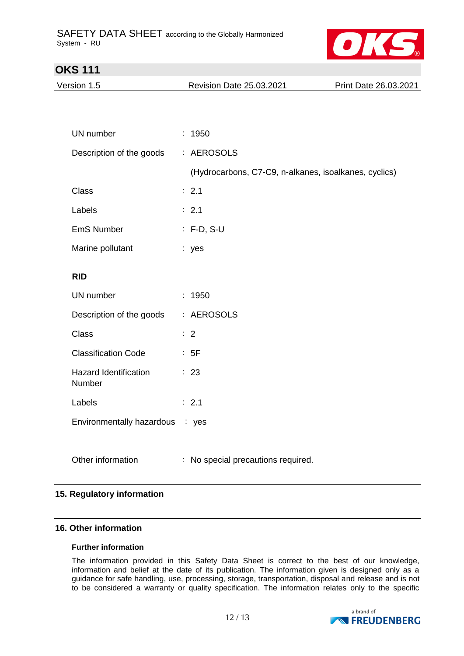

Version 1.5 Revision Date 25.03.2021 Print Date 26.03.2021

| UN number                                     | : 1950                                                |
|-----------------------------------------------|-------------------------------------------------------|
| Description of the goods                      | : AEROSOLS                                            |
|                                               | (Hydrocarbons, C7-C9, n-alkanes, isoalkanes, cyclics) |
| <b>Class</b>                                  | : 2.1                                                 |
| Labels                                        | : 2.1                                                 |
| <b>EmS Number</b>                             | $: F-D, S-U$                                          |
| Marine pollutant                              | : yes                                                 |
| <b>RID</b>                                    |                                                       |
| UN number                                     | : 1950                                                |
| Description of the goods                      | : AEROSOLS                                            |
| <b>Class</b>                                  | $\therefore$ 2                                        |
| <b>Classification Code</b>                    | : 5F                                                  |
| <b>Hazard Identification</b><br><b>Number</b> | : 23                                                  |
| Labels                                        | : 2.1                                                 |
| Environmentally hazardous                     | : yes                                                 |
|                                               |                                                       |
| Other information                             | No special precautions required.                      |

### **15. Regulatory information**

### **16. Other information**

#### **Further information**

The information provided in this Safety Data Sheet is correct to the best of our knowledge, information and belief at the date of its publication. The information given is designed only as a guidance for safe handling, use, processing, storage, transportation, disposal and release and is not to be considered a warranty or quality specification. The information relates only to the specific